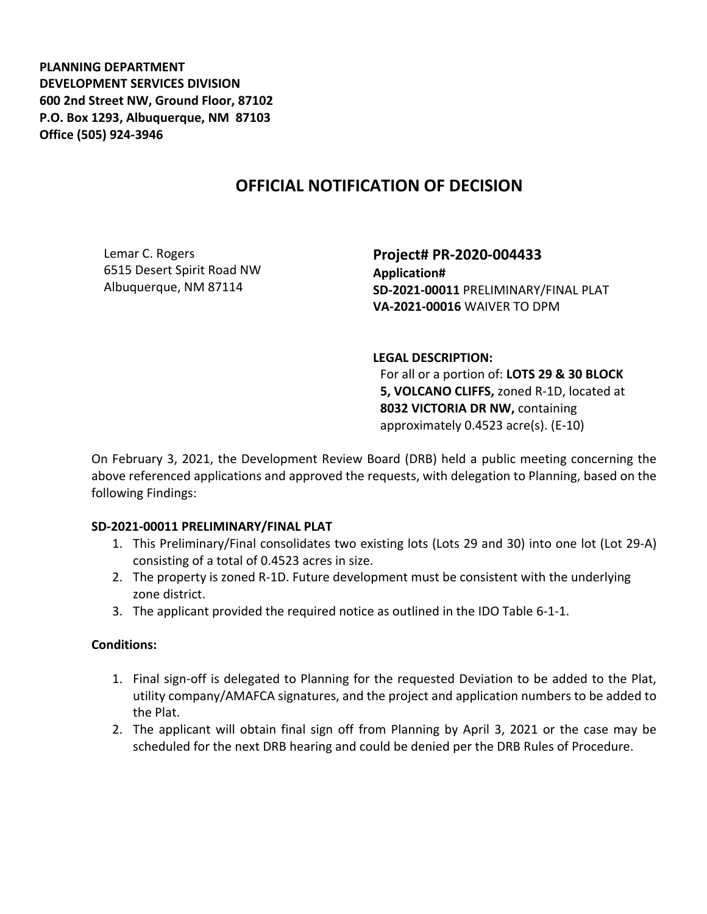**PLANNING DEPARTMENT DEVELOPMENT SERVICES DIVISION 600 2nd Street NW, Ground Floor, 87102 P.O. Box 1293, Albuquerque, NM 87103 Office (505) 924-3946** 

# **OFFICIAL NOTIFICATION OF DECISION**

Lemar C. Rogers 6515 Desert Spirit Road NW Albuquerque, NM 87114

**Project# PR-2020-004433 Application# SD-2021-00011** PRELIMINARY/FINAL PLAT **VA-2021-00016** WAIVER TO DPM

#### **LEGAL DESCRIPTION:**

For all or a portion of: **LOTS 29 & 30 BLOCK 5, VOLCANO CLIFFS,** zoned R-1D, located at **8032 VICTORIA DR NW,** containing approximately 0.4523 acre(s). (E-10)

On February 3, 2021, the Development Review Board (DRB) held a public meeting concerning the above referenced applications and approved the requests, with delegation to Planning, based on the following Findings:

### **SD-2021-00011 PRELIMINARY/FINAL PLAT**

- 1. This Preliminary/Final consolidates two existing lots (Lots 29 and 30) into one lot (Lot 29-A) consisting of a total of 0.4523 acres in size.
- 2. The property is zoned R-1D. Future development must be consistent with the underlying zone district.
- 3. The applicant provided the required notice as outlined in the IDO Table 6-1-1.

### **Conditions:**

- 1. Final sign-off is delegated to Planning for the requested Deviation to be added to the Plat, utility company/AMAFCA signatures, and the project and application numbers to be added to the Plat.
- 2. The applicant will obtain final sign off from Planning by April 3, 2021 or the case may be scheduled for the next DRB hearing and could be denied per the DRB Rules of Procedure.